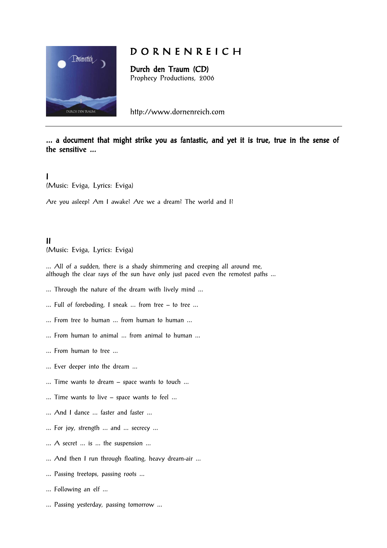

# D O R N E N R E I C H

Durch den Traum (CD) Prophecy Productions, 2006

http://www.dornenreich.com

## ... a document that might strike you as fantastic, and yet it is true, true in the sense of the sensitive ...

I (Music: Eviga, Lyrics: Eviga)

Are you asleep? Am I awake? Are we a dream? The world and I?

# II

(Music: Eviga, Lyrics: Eviga)

... All of a sudden, there is a shady shimmering and creeping all around me, although the clear rays of the sun have only just paced even the remotest paths ...

- ... Through the nature of the dream with lively mind ...
- ... Full of foreboding, I sneak ... from tree to tree ...
- ... From tree to human ... from human to human ...
- ... From human to animal ... from animal to human ...
- ... From human to tree ...
- ... Ever deeper into the dream ...
- ... Time wants to dream space wants to touch ...
- ... Time wants to live space wants to feel ...
- ... And I dance ... faster and faster ...
- ... For joy, strength ... and ... secrecy ...
- ... A secret ... is ... the suspension ...
- ... And then I run through floating, heavy dream-air ...
- ... Passing treetops, passing roots ...
- ... Following an elf ...
- ... Passing yesterday, passing tomorrow ...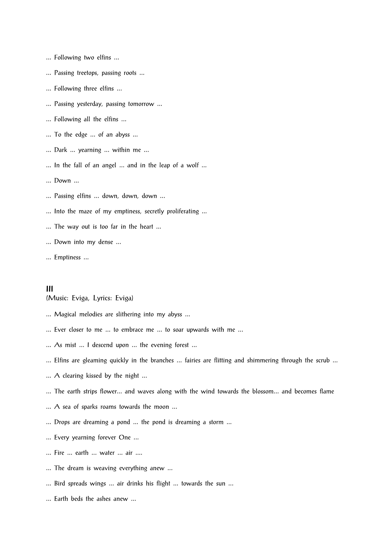- ... Following two elfins ...
- ... Passing treetops, passing roots ...
- ... Following three elfins ...
- ... Passing yesterday, passing tomorrow ...
- ... Following all the elfins ...
- ... To the edge ... of an abyss ...
- ... Dark ... yearning ... within me ...
- ... In the fall of an angel ... and in the leap of a wolf ...
- ... Down ...
- ... Passing elfins ... down, down, down ...
- ... Into the maze of my emptiness, secretly proliferating ...
- ... The way out is too far in the heart ...
- ... Down into my dense ...
- ... Emptiness ...

#### III (Music: Eviga, Lyrics: Eviga)

- ... Magical melodies are slithering into my abyss ...
- ... Ever closer to me ... to embrace me ... to soar upwards with me ...
- ... As mist ... I descend upon ... the evening forest ...
- ... Elfins are gleaming quickly in the branches ... fairies are flitting and shimmering through the scrub ...
- ... A clearing kissed by the night ...
- ... The earth strips flower... and waves along with the wind towards the blossom... and becomes flame
- ... A sea of sparks roams towards the moon ...
- ... Drops are dreaming a pond ... the pond is dreaming a storm ...
- ... Every yearning forever One ...
- ... Fire ... earth ... water ... air ....
- ... The dream is weaving everything anew ...
- ... Bird spreads wings ... air drinks his flight ... towards the sun ...
- ... Earth beds the ashes anew ...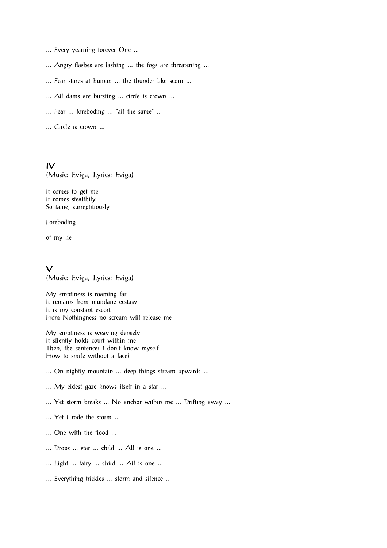- ... Every yearning forever One ...
- ... Angry flashes are lashing ... the fogs are threatening ...
- ... Fear stares at human ... the thunder like scorn ...
- ... All dams are bursting ... circle is crown ...
- ... Fear ... foreboding ... "all the same" ...
- ... Circle is crown ...

IV (Music: Eviga, Lyrics: Eviga)

It comes to get me It comes stealthily So tame, surreptitiously

Foreboding

of my lie

 $\sqrt{ }$ (Music: Eviga, Lyrics: Eviga)

My emptiness is roaming far It remains from mundane ecstasy It is my constant escort From Nothingness no scream will release me

My emptiness is weaving densely It silently holds court within me Then, the sentence: I don't know myself How to smile without a face?

- ... On nightly mountain ... deep things stream upwards ...
- ... My eldest gaze knows itself in a star ...
- ... Yet storm breaks ... No anchor within me ... Drifting away ...
- ... Yet I rode the storm ...
- ... One with the flood ...
- ... Drops ... star ... child ... All is one ...
- ... Light ... fairy ... child ... All is one ...
- ... Everything trickles ... storm and silence ...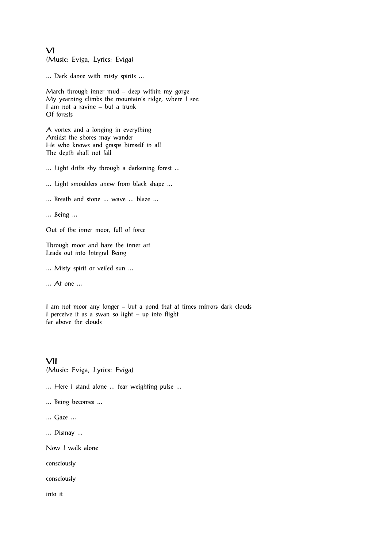VI (Music: Eviga, Lyrics: Eviga)

... Dark dance with misty spirits ...

March through inner mud – deep within my gorge My yearning climbs the mountain's ridge, where I see: I am not a ravine – but a trunk Of forests

A vortex and a longing in everything Amidst the shores may wander He who knows and grasps himself in all The depth shall not fall

... Light drifts shy through a darkening forest ...

- ... Light smoulders anew from black shape ...
- ... Breath and stone ... wave ... blaze ...
- ... Being ...

Out of the inner moor, full of force

Through moor and haze the inner art Leads out into Integral Being

... Misty spirit or veiled sun ...

... At one ...

I am not moor any longer – but a pond that at times mirrors dark clouds I perceive it as a swan so light – up into flight far above the clouds

VII (Music: Eviga, Lyrics: Eviga)

... Here I stand alone ... fear weighting pulse ...

- ... Being becomes ...
- ... Gaze ...
- ... Dismay ...

Now I walk alone

consciously

consciously

into it